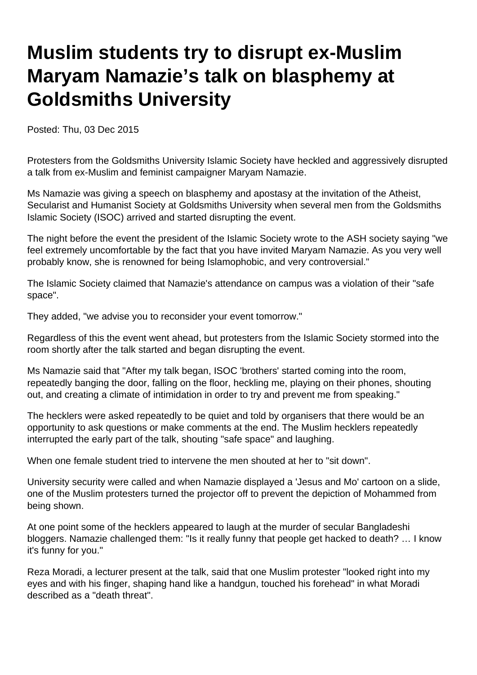## **Muslim students try to disrupt ex-Muslim Maryam Namazie's talk on blasphemy at Goldsmiths University**

Posted: Thu, 03 Dec 2015

Protesters from the Goldsmiths University Islamic Society have heckled and aggressively disrupted a talk from ex-Muslim and feminist campaigner Maryam Namazie.

Ms Namazie was giving a speech on blasphemy and apostasy at the invitation of the Atheist, Secularist and Humanist Society at Goldsmiths University when several men from the Goldsmiths Islamic Society (ISOC) arrived and started disrupting the event.

The night before the event the president of the Islamic Society wrote to the ASH society saying "we feel extremely uncomfortable by the fact that you have invited Maryam Namazie. As you very well probably know, she is renowned for being Islamophobic, and very controversial."

The Islamic Society claimed that Namazie's attendance on campus was a violation of their "safe space".

They added, "we advise you to reconsider your event tomorrow."

Regardless of this the event went ahead, but protesters from the Islamic Society stormed into the room shortly after the talk started and began disrupting the event.

Ms Namazie said that "After my talk began, ISOC 'brothers' started coming into the room, repeatedly banging the door, falling on the floor, heckling me, playing on their phones, shouting out, and creating a climate of intimidation in order to try and prevent me from speaking."

The hecklers were asked repeatedly to be quiet and told by organisers that there would be an opportunity to ask questions or make comments at the end. The Muslim hecklers repeatedly interrupted the early part of the talk, shouting "safe space" and laughing.

When one female student tried to intervene the men shouted at her to "sit down".

University security were called and when Namazie displayed a 'Jesus and Mo' cartoon on a slide, one of the Muslim protesters turned the projector off to prevent the depiction of Mohammed from being shown.

At one point some of the hecklers appeared to laugh at the murder of secular Bangladeshi bloggers. Namazie challenged them: "Is it really funny that people get hacked to death? … I know it's funny for you."

Reza Moradi, a lecturer present at the talk, said that one Muslim protester "looked right into my eyes and with his finger, shaping hand like a handgun, touched his forehead" in what Moradi described as a "death threat".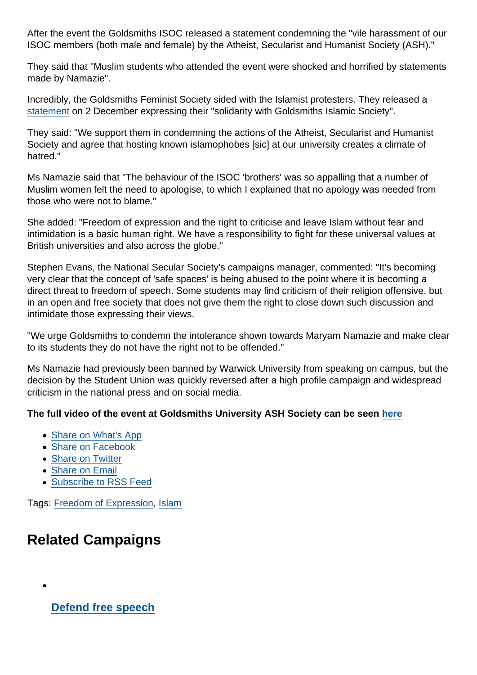After the event the Goldsmiths ISOC released a statement condemning the "vile harassment of our ISOC members (both male and female) by the Atheist, Secularist and Humanist Society (ASH)."

They said that "Muslim students who attended the event were shocked and horrified by statements made by Namazie".

Incredibly, the Goldsmiths Feminist Society sided with the Islamist protesters. They released a [statement](http://goldfemsoc.tumblr.com/post/134396957048/goldsmiths-feminist-society-stands-in-solidarity) on 2 December expressing their "solidarity with Goldsmiths Islamic Society".

They said: "We support them in condemning the actions of the Atheist, Secularist and Humanist Society and agree that hosting known islamophobes [sic] at our university creates a climate of hatred."

Ms Namazie said that "The behaviour of the ISOC 'brothers' was so appalling that a number of Muslim women felt the need to apologise, to which I explained that no apology was needed from those who were not to blame."

She added: "Freedom of expression and the right to criticise and leave Islam without fear and intimidation is a basic human right. We have a responsibility to fight for these universal values at British universities and also across the globe."

Stephen Evans, the National Secular Society's campaigns manager, commented: "It's becoming very clear that the concept of 'safe spaces' is being abused to the point where it is becoming a direct threat to freedom of speech. Some students may find criticism of their religion offensive, but in an open and free society that does not give them the right to close down such discussion and intimidate those expressing their views.

"We urge Goldsmiths to condemn the intolerance shown towards Maryam Namazie and make clear to its students they do not have the right not to be offended."

Ms Namazie had previously been banned by Warwick University from speaking on campus, but the decision by the Student Union was quickly reversed after a high profile campaign and widespread criticism in the national press and on social media.

The full video of the event at Goldsmiths University ASH Society can be seen [here](https://www.youtube.com/watch?v=-1ZiZdz5nao&feature=youtu.be)

- [Share on What's App](whatsapp://send?text=http://www.secularism.org.uk/news/2015/12/islamist-students-try-to-disrupt-ex-muslim-maryam-namazies-talk-on-blasphemy-at-goldsmiths-university?format=pdf)
- [Share on Facebook](https://www.facebook.com/sharer/sharer.php?u=http://www.secularism.org.uk/news/2015/12/islamist-students-try-to-disrupt-ex-muslim-maryam-namazies-talk-on-blasphemy-at-goldsmiths-university?format=pdf&t=Muslim+students+try+to+disrupt+ex-Muslim+Maryam+Namazie’s+talk+on+blasphemy+at+Goldsmiths+University)
- [Share on Twitter](https://twitter.com/intent/tweet?url=http://www.secularism.org.uk/news/2015/12/islamist-students-try-to-disrupt-ex-muslim-maryam-namazies-talk-on-blasphemy-at-goldsmiths-university?format=pdf&text=Muslim+students+try+to+disrupt+ex-Muslim+Maryam+Namazie’s+talk+on+blasphemy+at+Goldsmiths+University&via=NatSecSoc)
- [Share on Email](https://www.secularism.org.uk/share.html?url=http://www.secularism.org.uk/news/2015/12/islamist-students-try-to-disrupt-ex-muslim-maryam-namazies-talk-on-blasphemy-at-goldsmiths-university?format=pdf&title=Muslim+students+try+to+disrupt+ex-Muslim+Maryam+Namazie’s+talk+on+blasphemy+at+Goldsmiths+University)
- [Subscribe to RSS Feed](/mnt/web-data/www/cp-nss/feeds/rss/news)

Tags: [Freedom of Expression](https://www.secularism.org.uk/news/tags/Freedom+of+Expression), [Islam](https://www.secularism.org.uk/news/tags/Islam)

## Related Campaigns

[Defend free speech](https://www.secularism.org.uk/defend-free-speech/)